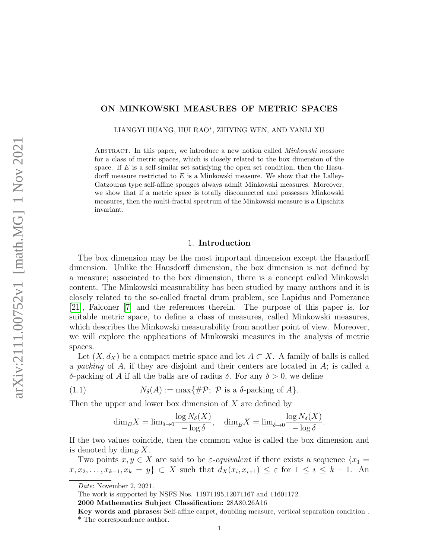# ON MINKOWSKI MEASURES OF METRIC SPACES

LIANGYI HUANG, HUI RAO<sup>∗</sup> , ZHIYING WEN, AND YANLI XU

ABSTRACT. In this paper, we introduce a new notion called *Minkowski measure* for a class of metric spaces, which is closely related to the box dimension of the space. If  $E$  is a self-similar set satisfying the open set condition, then the Hasudorff measure restricted to  $E$  is a Minkowski measure. We show that the Lalley-Gatzouras type self-affine sponges always admit Minkowski measures. Moreover, we show that if a metric space is totally disconnected and possesses Minkowski measures, then the multi-fractal spectrum of the Minkowski measure is a Lipschitz invariant.

### 1. Introduction

The box dimension may be the most important dimension except the Hausdorff dimension. Unlike the Hausdorff dimension, the box dimension is not defined by a measure; associated to the box dimension, there is a concept called Minkowski content. The Minkowski measurability has been studied by many authors and it is closely related to the so-called fractal drum problem, see Lapidus and Pomerance [\[21\]](#page-14-0), Falconer [\[7\]](#page-13-0) and the references therein. The purpose of this paper is, for suitable metric space, to define a class of measures, called Minkowski measures, which describes the Minkowski measurability from another point of view. Moreover, we will explore the applications of Minkowski measures in the analysis of metric spaces.

Let  $(X, d_X)$  be a compact metric space and let  $A \subset X$ . A family of balls is called a packing of  $A$ , if they are disjoint and their centers are located in  $A$ ; is called a δ-packing of A if all the balls are of radius δ. For any  $\delta > 0$ , we define

(1.1) 
$$
N_{\delta}(A) := \max\{\#\mathcal{P}; \ \mathcal{P} \text{ is a } \delta\text{-packing of } A\}.
$$

Then the upper and lower box dimension of  $X$  are defined by

<span id="page-0-0"></span>
$$
\overline{\dim}_B X = \overline{\lim}_{\delta \to 0} \frac{\log N_{\delta}(X)}{-\log \delta}, \quad \underline{\dim}_B X = \underline{\lim}_{\delta \to 0} \frac{\log N_{\delta}(X)}{-\log \delta}.
$$

If the two values coincide, then the common value is called the box dimension and is denoted by  $\dim_B X$ .

Two points  $x, y \in X$  are said to be  $\varepsilon$ -equivalent if there exists a sequence  $\{x_1 =$  $x, x_2, \ldots, x_{k-1}, x_k = y$   $\subset X$  such that  $d_X(x_i, x_{i+1}) \leq \varepsilon$  for  $1 \leq i \leq k-1$ . An

Date: November 2, 2021.

The work is supported by NSFS Nos. 11971195,12071167 and 11601172.

<sup>2000</sup> Mathematics Subject Classification: 28A80,26A16

Key words and phrases: Self-affine carpet, doubling measure, vertical separation condition . \* The correspondence author.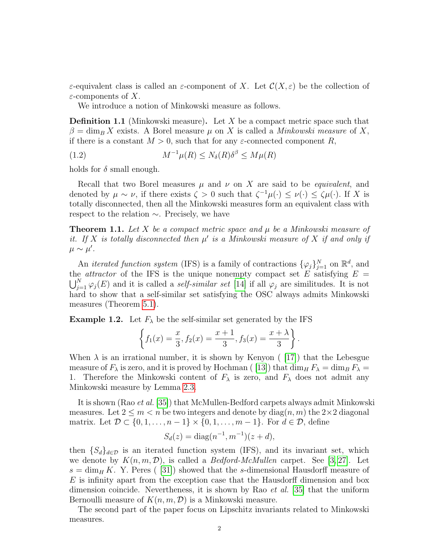ε-equivalent class is called an ε-component of X. Let  $\mathcal{C}(X,\varepsilon)$  be the collection of  $\varepsilon$ -components of X.

We introduce a notion of Minkowski measure as follows.

**Definition 1.1** (Minkowski measure). Let X be a compact metric space such that  $\beta = \dim_B X$  exists. A Borel measure  $\mu$  on X is called a *Minkowski measure* of X, if there is a constant  $M > 0$ , such that for any  $\varepsilon$ -connected component R,

<span id="page-1-1"></span>(1.2) 
$$
M^{-1}\mu(R) \le N_{\delta}(R)\delta^{\beta} \le M\mu(R)
$$

holds for  $\delta$  small enough.

Recall that two Borel measures  $\mu$  and  $\nu$  on X are said to be *equivalent*, and denoted by  $\mu \sim \nu$ , if there exists  $\zeta > 0$  such that  $\zeta^{-1}\mu(\cdot) \leq \nu(\cdot) \leq \zeta \mu(\cdot)$ . If X is totally disconnected, then all the Minkowski measures form an equivalent class with respect to the relation ∼. Precisely, we have

<span id="page-1-0"></span>**Theorem 1.1.** Let X be a compact metric space and  $\mu$  be a Minkowski measure of it. If X is totally disconnected then  $\mu'$  is a Minkowski measure of X if and only if  $\mu \sim \mu'.$ 

An *iterated function system* (IFS) is a family of contractions  $\{\varphi_j\}_{j=1}^N$  on  $\mathbb{R}^d$ , and the *attractor* of the IFS is the unique nonempty compact set E satisfying  $E =$  $\bigcup_{j=1}^{N} \varphi_j(E)$  and it is called a *self-similar set* [\[14\]](#page-13-1) if all  $\varphi_j$  are similitudes. It is not hard to show that a self-similar set satisfying the OSC always admits Minkowski measures (Theorem [5.1\)](#page-9-0).

**Example 1.2.** Let  $F_{\lambda}$  be the self-similar set generated by the IFS

$$
\left\{f_1(x) = \frac{x}{3}, f_2(x) = \frac{x+1}{3}, f_3(x) = \frac{x+\lambda}{3}\right\}.
$$

When  $\lambda$  is an irrational number, it is shown by Kenyon ([\[17\]](#page-13-2)) that the Lebesgue measure of  $F_{\lambda}$  is zero, and it is proved by Hochman ([\[13\]](#page-13-3)) that  $\dim_H F_{\lambda} = \dim_B F_{\lambda}$ 1. Therefore the Minkowski content of  $F_{\lambda}$  is zero, and  $F_{\lambda}$  does not admit any Minkowski measure by Lemma [2.3.](#page-5-0)

It is shown (Rao et al. [\[35\]](#page-14-1)) that McMullen-Bedford carpets always admit Minkowski measures. Let  $2 \leq m < n$  be two integers and denote by  $\text{diag}(n, m)$  the  $2 \times 2$  diagonal matrix. Let  $\mathcal{D} \subset \{0, 1, \ldots, n-1\} \times \{0, 1, \ldots, m-1\}$ . For  $d \in \mathcal{D}$ , define

$$
S_d(z) = \text{diag}(n^{-1}, m^{-1})(z + d),
$$

then  ${S_d}_{d\in\mathcal{D}}$  is an iterated function system (IFS), and its invariant set, which we denote by  $K(n, m, \mathcal{D})$ , is called a *Bedford-McMullen* carpet. See [\[3,](#page-13-4) [27\]](#page-14-2). Let  $s = \dim_H K$ . Y. Peres ( [\[31\]](#page-14-3)) showed that the s-dimensional Hausdorff measure of  $E$  is infinity apart from the exception case that the Hausdorff dimension and box dimension coincide. Nevertheness, it is shown by Rao *et al.* [\[35\]](#page-14-1) that the uniform Bernoulli measure of  $K(n, m, \mathcal{D})$  is a Minkowski measure.

The second part of the paper focus on Lipschitz invariants related to Minkowski measures.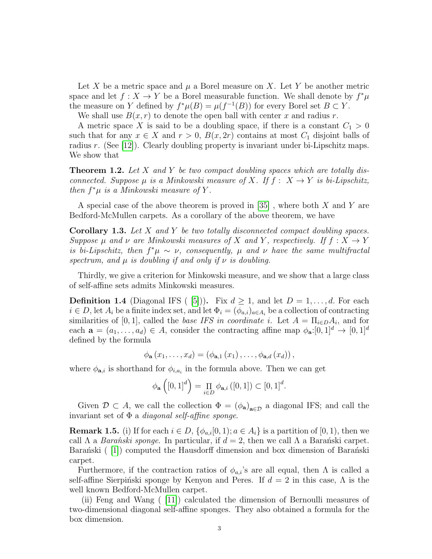Let X be a metric space and  $\mu$  a Borel measure on X. Let Y be another metric space and let  $f: X \to Y$  be a Borel measurable function. We shall denote by  $f^*\mu$ the measure on Y defined by  $f^*\mu(B) = \mu(f^{-1}(B))$  for every Borel set  $B \subset Y$ .

We shall use  $B(x, r)$  to denote the open ball with center x and radius r.

A metric space X is said to be a doubling space, if there is a constant  $C_1 > 0$ such that for any  $x \in X$  and  $r > 0$ ,  $B(x, 2r)$  contains at most  $C_1$  disjoint balls of radius r. (See [\[12\]](#page-13-5)). Clearly doubling property is invariant under bi-Lipschitz maps. We show that

<span id="page-2-0"></span>**Theorem 1.2.** Let  $X$  and  $Y$  be two compact doubling spaces which are totally disconnected. Suppose  $\mu$  is a Minkowski measure of X. If  $f: X \to Y$  is bi-Lipschitz, then  $f^*\mu$  is a Minkowski measure of Y.

A special case of the above theorem is proved in [\[35\]](#page-14-1), where both X and Y are Bedford-McMullen carpets. As a corollary of the above theorem, we have

Corollary 1.3. Let X and Y be two totally disconnected compact doubling spaces. Suppose  $\mu$  and  $\nu$  are Minkowski measures of X and Y, respectively. If  $f: X \to Y$ is bi-Lipschitz, then  $f^*\mu \sim \nu$ , consequently,  $\mu$  and  $\nu$  have the same multifractal spectrum, and  $\mu$  is doubling if and only if  $\nu$  is doubling.

Thirdly, we give a criterion for Minkowski measure, and we show that a large class of self-affine sets admits Minkowski measures.

**Definition 1.4** (Diagonal IFS ( [\[5\]](#page-13-6))). Fix  $d \ge 1$ , and let  $D = 1, \ldots, d$ . For each  $i \in D$ , let  $A_i$  be a finite index set, and let  $\Phi_i = (\phi_{a,i})_{a \in A_i}$  be a collection of contracting similarities of [0, 1], called the base IFS in coordinate i. Let  $A = \prod_{i \in D} A_i$ , and for each  $\mathbf{a} = (a_1, \ldots, a_d) \in A$ , consider the contracting affine map  $\phi_{\mathbf{a}}:[0,1]^d \to [0,1]^d$ defined by the formula

$$
\phi_{\mathbf{a}}(x_1,\ldots,x_d)=(\phi_{\mathbf{a},1}(x_1),\ldots,\phi_{\mathbf{a},d}(x_d)),
$$

where  $\phi_{\mathbf{a},i}$  is shorthand for  $\phi_{i,a_i}$  in the formula above. Then we can get

$$
\phi_{\mathbf{a}}\left([0,1]^d\right) = \prod_{i \in D} \phi_{\mathbf{a},i}([0,1]) \subset [0,1]^d.
$$

Given  $\mathcal{D} \subset A$ , we call the collection  $\Phi = (\phi_{\mathbf{a}})_{\mathbf{a} \in \mathcal{D}}$  a diagonal IFS; and call the invariant set of  $\Phi$  a *diagonal self-affine sponge*.

**Remark 1.5.** (i) If for each  $i \in D$ ,  $\{\phi_{a,i}[0,1); a \in A_i\}$  is a partition of [0, 1), then we call  $\Lambda$  a *Barański sponge*. In particular, if  $d = 2$ , then we call  $\Lambda$  a Barański carpet. Baran´ski  $\binom{[1]}{[1]}$  $\binom{[1]}{[1]}$  $\binom{[1]}{[1]}$  computed the Hausdorff dimension and box dimension of Baran´ski carpet.

Furthermore, if the contraction ratios of  $\phi_{a,i}$ 's are all equal, then  $\Lambda$  is called a self-affine Sierpinski sponge by Kenyon and Peres. If  $d = 2$  in this case,  $\Lambda$  is the well known Bedford-McMullen carpet.

(ii) Feng and Wang ( [\[11\]](#page-13-8)) calculated the dimension of Bernoulli measures of two-dimensional diagonal self-affine sponges. They also obtained a formula for the box dimension.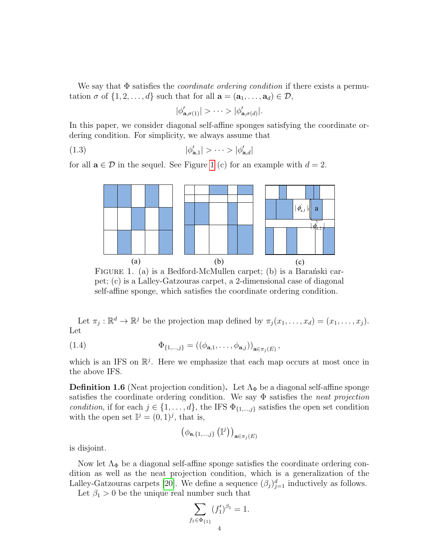We say that  $\Phi$  satisfies the *coordinate ordering condition* if there exists a permutation  $\sigma$  of  $\{1, 2, \ldots, d\}$  such that for all  $\mathbf{a} = (\mathbf{a}_1, \ldots, \mathbf{a}_d) \in \mathcal{D}$ ,

<span id="page-3-2"></span>
$$
|\phi'_{\mathbf{a},\sigma(1)}| > \cdots > |\phi'_{\mathbf{a},\sigma(d)}|.
$$

In this paper, we consider diagonal self-affine sponges satisfying the coordinate ordering condition. For simplicity, we always assume that

$$
|\phi'_{\mathbf{a},1}| > \cdots > |\phi'_{\mathbf{a},d}|
$$

for all  $\mathbf{a} \in \mathcal{D}$  in the sequel. See Figure [1](#page-3-0) (c) for an example with  $d = 2$ .



<span id="page-3-0"></span>FIGURE 1. (a) is a Bedford-McMullen carpet; (b) is a Baranski carpet; (c) is a Lalley-Gatzouras carpet, a 2-dimensional case of diagonal self-affine sponge, which satisfies the coordinate ordering condition.

Let  $\pi_j : \mathbb{R}^d \to \mathbb{R}^j$  be the projection map defined by  $\pi_j(x_1, \ldots, x_d) = (x_1, \ldots, x_j)$ . Let

<span id="page-3-1"></span>(1.4) 
$$
\Phi_{\{1,...,j\}} = ((\phi_{\mathbf{a},1}, \ldots, \phi_{\mathbf{a},j}))_{\mathbf{a} \in \pi_j(E)},
$$

which is an IFS on  $\mathbb{R}^j$ . Here we emphasize that each map occurs at most once in the above IFS.

**Definition 1.6** (Neat projection condition). Let  $\Lambda_{\Phi}$  be a diagonal self-affine sponge satisfies the coordinate ordering condition. We say  $\Phi$  satisfies the *neat projection* condition, if for each  $j \in \{1, \ldots, d\}$ , the IFS  $\Phi_{\{1,\ldots,j\}}$  satisfies the open set condition with the open set  $\mathbb{I}^j = (0,1)^j$ , that is,

$$
\left(\phi_{\mathbf{a},\{1,\ldots,j\}}\left(\mathbb{I}^j\right)\right)_{\mathbf{a}\in\pi_j(E)}
$$

is disjoint.

Now let  $\Lambda_{\Phi}$  be a diagonal self-affine sponge satisfies the coordinate ordering condition as well as the neat projection condition, which is a generalization of the Lalley-Gatzouras carpets [\[20\]](#page-14-4). We define a sequence  $(\beta_j)_{j=1}^d$  inductively as follows.

Let  $\beta_1 > 0$  be the unique real number such that

$$
\sum_{f_1 \in \Phi_{\{1\}}} (f'_1)^{\beta_1} = 1.
$$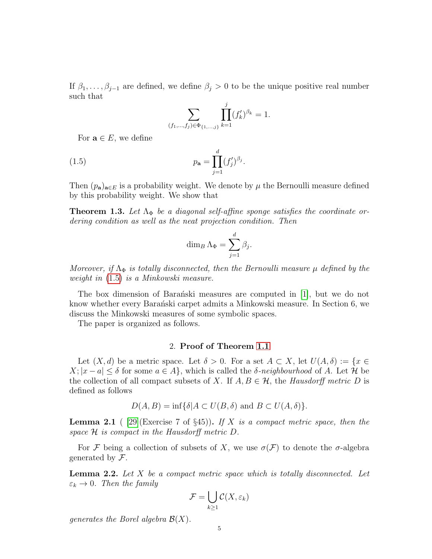If  $\beta_1, \ldots, \beta_{j-1}$  are defined, we define  $\beta_j > 0$  to be the unique positive real number such that

<span id="page-4-0"></span>
$$
\sum_{(f_1,\ldots,f_j)\in\Phi_{\{1,\ldots,j\}}}\prod_{k=1}^j(f'_k)^{\beta_k}=1.
$$

For  $\mathbf{a} \in E$ , we define

(1.5) 
$$
p_{\mathbf{a}} = \prod_{j=1}^{d} (f'_j)^{\beta_j}.
$$

Then  $(p_a)_{a \in E}$  is a probability weight. We denote by  $\mu$  the Bernoulli measure defined by this probability weight. We show that

<span id="page-4-3"></span>**Theorem 1.3.** Let  $\Lambda_{\Phi}$  be a diagonal self-affine sponge satisfies the coordinate ordering condition as well as the neat projection condition. Then

$$
\dim_B \Lambda_{\Phi} = \sum_{j=1}^d \beta_j.
$$

Moreover, if  $\Lambda_{\Phi}$  is totally disconnected, then the Bernoulli measure  $\mu$  defined by the weight in [\(1.5\)](#page-4-0) is a Minkowski measure.

The box dimension of Baranchiski measures are computed in  $[1]$ , but we do not know whether every Baranski carpet admits a Minkowski measure. In Section 6, we discuss the Minkowski measures of some symbolic spaces.

The paper is organized as follows.

# 2. Proof of Theorem [1.1](#page-1-0)

Let  $(X, d)$  be a metric space. Let  $\delta > 0$ . For a set  $A \subset X$ , let  $U(A, \delta) := \{x \in$  $X; |x - a| \leq \delta$  for some  $a \in A$ , which is called the  $\delta$ -neighbourhood of A. Let H be the collection of all compact subsets of X. If  $A, B \in \mathcal{H}$ , the Hausdorff metric D is defined as follows

$$
D(A, B) = \inf \{ \delta | A \subset U(B, \delta) \text{ and } B \subset U(A, \delta) \}.
$$

<span id="page-4-1"></span>**Lemma 2.1** ( [\[29\]](#page-14-5) (Exercise 7 of §45)). If X is a compact metric space, then the space H is compact in the Hausdorff metric D.

For F being a collection of subsets of X, we use  $\sigma(\mathcal{F})$  to denote the  $\sigma$ -algebra generated by  $\mathcal{F}$ .

<span id="page-4-2"></span>**Lemma 2.2.** Let  $X$  be a compact metric space which is totally disconnected. Let  $\varepsilon_k \to 0$ . Then the family

$$
\mathcal{F} = \bigcup_{k \ge 1} \mathcal{C}(X, \varepsilon_k)
$$

generates the Borel algebra  $\mathcal{B}(X)$ .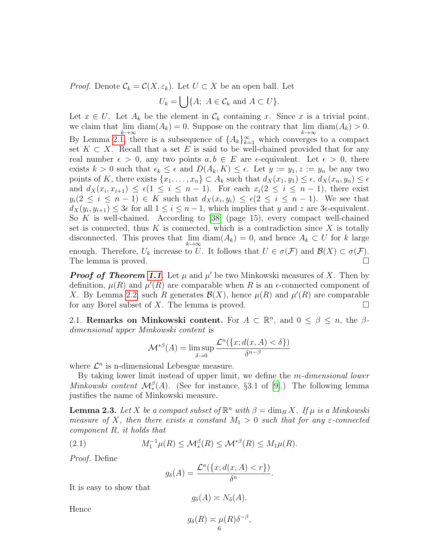*Proof.* Denote  $\mathcal{C}_k = \mathcal{C}(X, \varepsilon_k)$ . Let  $U \subset X$  be an open ball. Let

$$
U_k = \bigcup \{ A; \ A \in \mathcal{C}_k \text{ and } A \subset U \}.
$$

Let  $x \in U$ . Let  $A_k$  be the element in  $\mathcal{C}_k$  containing x. Since x is a trivial point, we claim that  $\lim_{k \to \infty} \text{diam}(A_k) = 0$ . Suppose on the contrary that  $\lim_{k \to \infty} \text{diam}(A_k) > 0$ . By Lemma [2.1,](#page-4-1) there is a subsequence of  $\{A_k\}_{k=1}^{\infty}$  which converges to a compact set  $K \subset X$ . Recall that a set E is said to be well-chained provided that for any real number  $\epsilon > 0$ , any two points  $a, b \in E$  are  $\epsilon$ -equivalent. Let  $\epsilon > 0$ , there exists  $k > 0$  such that  $\epsilon_k \leq \epsilon$  and  $D(A_k, K) \leq \epsilon$ . Let  $y := y_1, z := y_n$  be any two points of K, there exists  $\{x_1, \ldots, x_n\} \subset A_k$  such that  $d_X(x_1, y_1) \leq \epsilon$ ,  $d_X(x_n, y_n) \leq \epsilon$ and  $d_X(x_i, x_{i+1}) \leq \epsilon (1 \leq i \leq n-1)$ . For each  $x_i (2 \leq i \leq n-1)$ , there exist  $y_i(2 \leq i \leq n-1) \in K$  such that  $d_X(x_i, y_i) \leq \epsilon (2 \leq i \leq n-1)$ . We see that  $d_X(y_i, y_{i+1}) \leq 3\epsilon$  for all  $1 \leq i \leq n-1$ , which implies that y and z are 3 $\epsilon$ -equivalent. So K is well-chained. According to  $[38]$  (page 15), every compact well-chained set is connected, thus  $K$  is connected, which is a contradiction since  $X$  is totally disconnected. This proves that  $\lim_{k \to \infty} \text{diam}(A_k) = 0$ , and hence  $A_k \subset U$  for k large enough. Therefore,  $U_k$  increase to U. It follows that  $U \in \sigma(\mathcal{F})$  and  $\mathcal{B}(X) \subset \sigma(\mathcal{F})$ . The lemma is proved.

**Proof of Theorem [1.1](#page-1-0)**. Let  $\mu$  and  $\mu'$  be two Minkowski measures of X. Then by definition,  $\mu(R)$  and  $\mu'(R)$  are comparable when R is an  $\epsilon$ -connected component of X. By Lemma [2.2,](#page-4-2) such R generates  $\mathcal{B}(X)$ , hence  $\mu(R)$  and  $\mu'(R)$  are comparable for any Borel subset of X. The lemma is proved.  $\square$ 

2.1. Remarks on Minkowski content. For  $A \subset \mathbb{R}^n$ , and  $0 \le \beta \le n$ , the  $\beta$ dimensional upper Minkowski content is

$$
\mathcal{M}^{*\beta}(A) = \limsup_{\delta \to 0} \frac{\mathcal{L}^n(\{x; d(x, A) < \delta\})}{\delta^{n-\beta}}
$$

where  $\mathcal{L}^n$  is n-dimensional Lebesgue measure.

By taking lower limit instead of upper limit, we define the m-dimensional lower Minkowski content  $\mathcal{M}_{*}^{\beta}(A)$ . (See for instance, §3.1 of [\[9\]](#page-13-9).) The following lemma justifies the name of Minkowski measure.

<span id="page-5-0"></span>**Lemma 2.3.** Let X be a compact subset of  $\mathbb{R}^n$  with  $\beta = \dim_B X$ . If  $\mu$  is a Minkowski measure of X, then there exists a constant  $M_1 > 0$  such that for any  $\varepsilon$ -connected component R, it holds that

(2.1) 
$$
M_1^{-1}\mu(R) \leq \mathcal{M}_*^{\beta}(R) \leq \mathcal{M}^{*\beta}(R) \leq M_1\mu(R).
$$

Proof. Define

$$
g_{\delta}(A) = \frac{\mathcal{L}^n(\{x; d(x, A) < r\})}{\delta^n}.
$$

It is easy to show that

$$
g_{\delta}(A) \asymp N_{\delta}(A).
$$

Hence

$$
g_{\delta}(R) \asymp \mu(R)\delta^{-\beta},
$$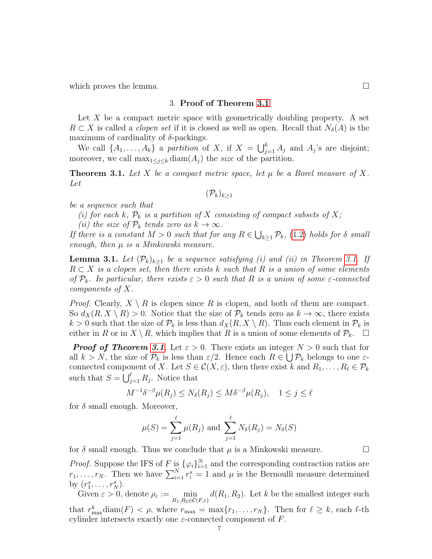which proves the lemma.  $\Box$ 

## 3. Proof of Theorem [3.1](#page-6-0)

Let  $X$  be a compact metric space with geometrically doubling property. A set  $R \subset X$  is called a *clopen set* if it is closed as well as open. Recall that  $N_{\delta}(A)$  is the maximum of cardinality of  $\delta$ -packings.

We call  $\{A_1, \ldots, A_k\}$  a partition of X, if  $X = \bigcup_{j=1}^k A_j$  and  $A_j$ 's are disjoint; moreover, we call  $\max_{1 \leq j \leq k} \text{diam}(A_j)$  the size of the partition.

<span id="page-6-0"></span>**Theorem 3.1.** Let X be a compact metric space, let  $\mu$  be a Borel measure of X. Let

$$
(\mathcal{P}_k)_{k\geq 1}
$$

be a sequence such that

(i) for each k,  $\mathcal{P}_k$  is a partition of X consisting of compact subsets of X;

(ii) the size of  $\mathcal{P}_k$  tends zero as  $k \to \infty$ .

If there is a constant  $M > 0$  such that for any  $R \in \bigcup_{k \geq 1} \mathcal{P}_k$ , [\(1.2\)](#page-1-1) holds for  $\delta$  small enough, then  $\mu$  is a Minkowski measure.

<span id="page-6-1"></span>**Lemma [3.1.](#page-6-0)** Let  $(\mathcal{P}_k)_{k>1}$  be a sequence satisfying (i) and (ii) in Theorem 3.1. If  $R \subset X$  is a clopen set, then there exists k such that R is a union of some elements of  $\mathcal{P}_k$ . In particular, there exists  $\varepsilon > 0$  such that R is a union of some  $\varepsilon$ -connected components of X.

*Proof.* Clearly,  $X \setminus R$  is clopen since R is clopen, and both of them are compact. So  $d_X(R, X \setminus R) > 0$ . Notice that the size of  $\mathcal{P}_k$  tends zero as  $k \to \infty$ , there exists  $k > 0$  such that the size of  $\mathcal{P}_k$  is less than  $d_X(R, X \setminus R)$ . Thus each element in  $\mathcal{P}_k$  is either in R or in  $X \setminus R$ , which implies that R is a union of some elements of  $\mathcal{P}_k$ .  $\Box$ 

**Proof of Theorem [3.1](#page-6-0).** Let  $\varepsilon > 0$ . There exists an integer  $N > 0$  such that for all  $k > N$ , the size of  $\mathcal{P}_k$  is less than  $\varepsilon/2$ . Hence each  $R \in \bigcup \mathcal{P}_k$  belongs to one  $\varepsilon$ connected component of X. Let  $S \in \mathcal{C}(X, \varepsilon)$ , then there exist k and  $R_1, \ldots, R_\ell \in \mathcal{P}_k$ such that  $S = \bigcup_{j=1}^{\ell} R_j$ . Notice that

$$
M^{-1}\delta^{-\beta}\mu(R_j) \le N_\delta(R_j) \le M\delta^{-\beta}\mu(R_j), \quad 1 \le j \le \ell
$$

for  $\delta$  small enough. Moreover,

$$
\mu(S) = \sum_{j=1}^{\ell} \mu(R_j) \text{ and } \sum_{j=1}^{\ell} N_{\delta}(R_j) = N_{\delta}(S)
$$

for  $\delta$  small enough. Thus we conclude that  $\mu$  is a Minkowski measure.

*Proof.* Suppose the IFS of F is  $\{\varphi_i\}_{i=1}^N$  and the corresponding contraction ratios are  $r_1, \ldots, r_N$ . Then we have  $\sum_{i=1}^N r_i^s = 1$  and  $\mu$  is the Bernoulli measure determined by  $(r_1^s, \ldots, r_N^s)$ .

Given  $\varepsilon > 0$ , denote  $\rho_{\varepsilon} := \min_{R_1, R_2 \in \mathcal{C}(F, \varepsilon)} d(R_1, R_2)$ . Let k be the smallest integer such that  $r_{\text{max}}^k$  diam $(F) < \rho$ , where  $r_{\text{max}} = \max\{r_1, \ldots, r_N\}$ . Then for  $\ell \geq k$ , each  $\ell$ -th k cylinder intersects exactly one  $\varepsilon$ -connected component of  $F$ .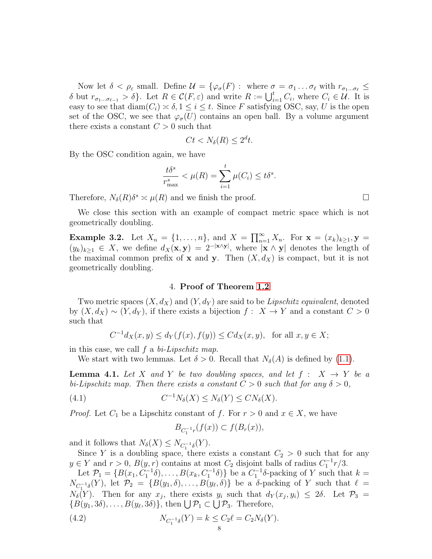Now let  $\delta < \rho_{\varepsilon}$  small. Define  $\mathcal{U} = \{ \varphi_{\sigma}(F) : \text{ where } \sigma = \sigma_1 \dots \sigma_\ell \text{ with } r_{\sigma_1 \dots \sigma_\ell} \leq$ δ but  $r_{\sigma_1...\sigma_{\ell-1}} > \delta$ . Let  $R \in \mathcal{C}(F,\varepsilon)$  and write  $R := \bigcup_{i=1}^t C_i$ , where  $C_i \in \mathcal{U}$ . It is easy to see that  $\text{diam}(C_i) \approx \delta, 1 \leq i \leq t$ . Since F satisfying OSC, say, U is the open set of the OSC, we see that  $\varphi_{\sigma}(U)$  contains an open ball. By a volume argument there exists a constant  $C > 0$  such that

$$
Ct < N_\delta(R) \le 2^d t.
$$

By the OSC condition again, we have

$$
\frac{t\delta^s}{r_{\max}^s} < \mu(R) = \sum_{i=1}^t \mu(C_i) \le t\delta^s.
$$

Therefore,  $N_{\delta}(R)\delta^s \simeq \mu(R)$  and we finish the proof.

We close this section with an example of compact metric space which is not geometrically doubling.

**Example 3.2.** Let  $X_n = \{1, ..., n\}$ , and  $X = \prod_{n=1}^{\infty} X_n$ . For  $\mathbf{x} = (x_k)_{k \geq 1}$ ,  $\mathbf{y} =$  $(y_k)_{k\geq 1} \in X$ , we define  $d_X(\mathbf{x}, \mathbf{y}) = 2^{-|\mathbf{x}\wedge \mathbf{y}|}$ , where  $|\mathbf{x}\wedge \mathbf{y}|$  denotes the length of the maximal common prefix of **x** and **y**. Then  $(X, d_X)$  is compact, but it is not geometrically doubling.

# 4. Proof of Theorem [1.2](#page-2-0)

Two metric spaces  $(X, d_X)$  and  $(Y, d_Y)$  are said to be Lipschitz equivalent, denoted by  $(X, d_X) \sim (Y, d_Y)$ , if there exists a bijection  $f: X \to Y$  and a constant  $C > 0$ such that

$$
C^{-1}d_X(x, y) \le d_Y(f(x), f(y)) \le Cd_X(x, y)
$$
, for all  $x, y \in X$ ;

in this case, we call  $f$  a  $bi-Lipschitz$  map.

We start with two lemmas. Let  $\delta > 0$ . Recall that  $N_{\delta}(A)$  is defined by [\(1.1\)](#page-0-0).

<span id="page-7-1"></span>**Lemma 4.1.** Let X and Y be two doubling spaces, and let  $f : X \rightarrow Y$  be a bi-Lipschitz map. Then there exists a constant  $C > 0$  such that for any  $\delta > 0$ ,

(4.1) 
$$
C^{-1}N_{\delta}(X) \leq N_{\delta}(Y) \leq CN_{\delta}(X).
$$

*Proof.* Let  $C_1$  be a Lipschitz constant of f. For  $r > 0$  and  $x \in X$ , we have

<span id="page-7-0"></span>
$$
B_{C_1^{-1}r}(f(x)) \subset f(B_r(x)),
$$

and it follows that  $N_{\delta}(X) \leq N_{C_1^{-1}\delta}(Y)$ .

Since Y is a doubling space, there exists a constant  $C_2 > 0$  such that for any  $y \in Y$  and  $r > 0$ ,  $B(y, r)$  contains at most  $C_2$  disjoint balls of radius  $C_1^{-1}r/3$ .

Let  $\mathcal{P}_1 = \{B(x_1, C_1^{-1}\delta), \ldots, B(x_k, C_1^{-1}\delta)\}\$  be a  $C_1^{-1}\delta$ -packing of Y such that  $k =$  $N_{C_1^{-1}\delta}(Y)$ , let  $\mathcal{P}_2 = \{B(y_1,\delta),\ldots,B(y_\ell,\delta)\}\$ be a  $\delta$ -packing of Y such that  $\ell =$  $N_{\delta}(Y)$ . Then for any  $x_j$ , there exists  $y_i$  such that  $d_Y(x_j, y_i) \leq 2\delta$ . Let  $\mathcal{P}_3 =$  ${B(y_1, 3\delta), \ldots, B(y_\ell, 3\delta)}$ , then  $\bigcup \mathcal{P}_1 \subset \bigcup \mathcal{P}_3$ . Therefore,

(4.2) 
$$
N_{C_1^{-1}\delta}(Y) = k \le C_2 \ell = C_2 N_{\delta}(Y).
$$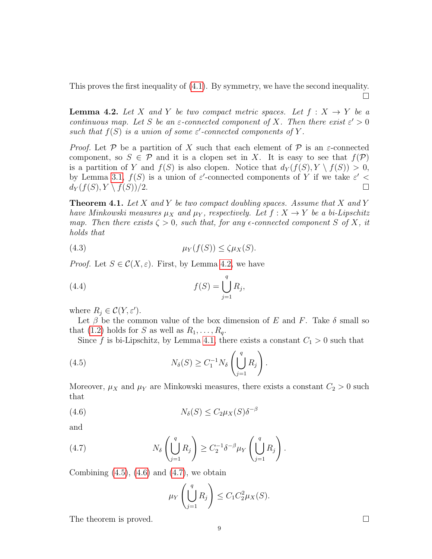This proves the first inequality of [\(4.1\)](#page-7-0). By symmetry, we have the second inequality.  $\Box$ 

<span id="page-8-0"></span>**Lemma 4.2.** Let X and Y be two compact metric spaces. Let  $f : X \rightarrow Y$  be a continuous map. Let S be an  $\varepsilon$ -connected component of X. Then there exist  $\varepsilon' > 0$ such that  $f(S)$  is a union of some  $\varepsilon'$ -connected components of Y.

*Proof.* Let P be a partition of X such that each element of P is an  $\varepsilon$ -connected component, so  $S \in \mathcal{P}$  and it is a clopen set in X. It is easy to see that  $f(\mathcal{P})$ is a partition of Y and  $f(S)$  is also clopen. Notice that  $d_Y(f(S), Y \setminus f(S)) > 0$ , by Lemma [3.1,](#page-6-1)  $f(S)$  is a union of  $\varepsilon'$ -connected components of Y if we take  $\varepsilon'$  <  $d_Y(f(S), Y \setminus f(S))/2.$ 

<span id="page-8-4"></span>**Theorem 4.1.** Let X and Y be two compact doubling spaces. Assume that X and Y have Minkowski measures  $\mu_X$  and  $\mu_Y$ , respectively. Let  $f : X \to Y$  be a bi-Lipschitz map. Then there exists  $\zeta > 0$ , such that, for any  $\epsilon$ -connected component S of X, it holds that

$$
\mu_Y(f(S)) \le \zeta \mu_X(S).
$$

*Proof.* Let  $S \in \mathcal{C}(X, \varepsilon)$ . First, by Lemma [4.2,](#page-8-0) we have

(4.4) 
$$
f(S) = \bigcup_{j=1}^{q} R_j,
$$

where  $R_j \in \mathcal{C}(Y, \varepsilon')$ .

Let  $\beta$  be the common value of the box dimension of E and F. Take  $\delta$  small so that [\(1.2\)](#page-1-1) holds for S as well as  $R_1, \ldots, R_q$ .

<span id="page-8-1"></span>Since f is bi-Lipschitz, by Lemma [4.1,](#page-7-1) there exists a constant  $C_1 > 0$  such that

(4.5) 
$$
N_{\delta}(S) \geq C_1^{-1} N_{\delta} \left( \bigcup_{j=1}^q R_j \right).
$$

Moreover,  $\mu_X$  and  $\mu_Y$  are Minkowski measures, there exists a constant  $C_2 > 0$  such that

(4.6) 
$$
N_{\delta}(S) \leq C_2 \mu_X(S) \delta^{-\beta}
$$

and

(4.7) 
$$
N_{\delta}\left(\bigcup_{j=1}^{q} R_{j}\right) \geq C_{2}^{-1} \delta^{-\beta} \mu_{Y}\left(\bigcup_{j=1}^{q} R_{j}\right).
$$

Combining  $(4.5)$ ,  $(4.6)$  and  $(4.7)$ , we obtain

<span id="page-8-3"></span><span id="page-8-2"></span>
$$
\mu_Y \left( \bigcup_{j=1}^q R_j \right) \leq C_1 C_2^2 \mu_X(S).
$$

The theorem is proved.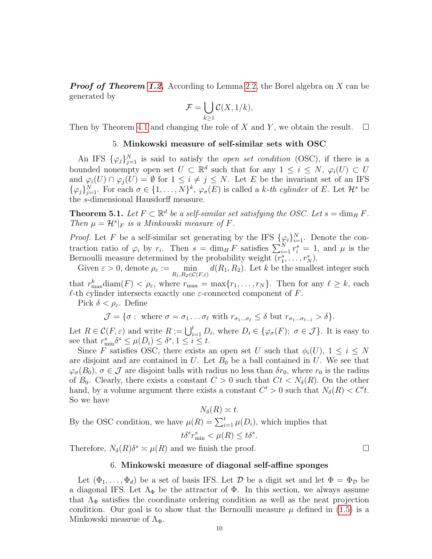**Proof of Theorem [1.2.](#page-2-0)** According to Lemma [2.2,](#page-4-2) the Borel algebra on X can be generated by

$$
\mathcal{F} = \bigcup_{k \ge 1} \mathcal{C}(X, 1/k),
$$

Then by Theorem [4.1](#page-8-4) and changing the role of X and Y, we obtain the result.  $\square$ 

# 5. Minkowski measure of self-similar sets with OSC

An IFS  $\{\varphi_j\}_{j=1}^N$  is said to satisfy the *open set condition* (OSC), if there is a bounded nonempty open set  $U \subset \mathbb{R}^d$  such that for any  $1 \leq i \leq N$ ,  $\varphi_i(U) \subset U$ and  $\varphi_i(U) \cap \varphi_j(U) = \emptyset$  for  $1 \leq i \neq j \leq N$ . Let E be the invariant set of an IFS  $\{\varphi_j\}_{j=1}^N$ . For each  $\sigma \in \{1,\ldots,N\}^k$ ,  $\varphi_\sigma(E)$  is called a k-th cylinder of E. Let  $\mathcal{H}^s$  be the s-dimensional Hausdorff measure.

<span id="page-9-0"></span>**Theorem 5.1.** Let  $F \subset \mathbb{R}^d$  be a self-similar set satisfying the OSC. Let  $s = \dim_H F$ . Then  $\mu = \mathcal{H}^s|_F$  is a Minkowski measure of F.

*Proof.* Let F be a self-similar set generating by the IFS  $\{\varphi_i\}_{i=1}^N$ . Denote the contraction ratio of  $\varphi_i$  by  $r_i$ . Then  $s = \dim_H F$  satisfies  $\sum_{i=1}^N r_i^s = 1$ , and  $\mu$  is the Bernoulli measure determined by the probability weight  $(r_1^s, \ldots, r_N^s)$ .

Given  $\varepsilon > 0$ , denote  $\rho_{\varepsilon} := \min_{R_1, R_2 \in \mathcal{C}(F, \varepsilon)} d(R_1, R_2)$ . Let k be the smallest integer such that  $r_{\text{max}}^k$  diam $(F) < \rho_{\varepsilon}$ , where  $r_{\text{max}} = \max\{r_1, \ldots, r_N\}$ . Then for any  $\ell \geq k$ , each  $\ell$ -th cylinder intersects exactly one  $\varepsilon$ -connected component of F.

Pick  $\delta < \rho_{\varepsilon}$ . Define

 $\mathcal{J} = \{\sigma : \text{ where } \sigma = \sigma_1 \dots \sigma_\ell \text{ with } r_{\sigma_1...\sigma_\ell} \leq \delta \text{ but } r_{\sigma_1...\sigma_{\ell-1}} > \delta \}.$ 

Let  $R \in \mathcal{C}(F,\varepsilon)$  and write  $R := \bigcup_{i=1}^t D_i$ , where  $D_i \in \{\varphi_{\sigma}(F); \sigma \in \mathcal{J}\}\.$  It is easy to see that  $r_{\min}^s \delta^s \leq \mu(D_i) \leq \delta^s, 1 \leq i \leq t$ .

Since F satisfies OSC, there exists an open set U such that  $\phi_i(U)$ ,  $1 \leq i \leq N$ are disjoint and are contained in  $U$ . Let  $B_0$  be a ball contained in  $U$ . We see that  $\varphi_{\sigma}(B_0), \sigma \in \mathcal{J}$  are disjoint balls with radius no less than  $\delta r_0$ , where  $r_0$  is the radius of  $B_0$ . Clearly, there exists a constant  $C > 0$  such that  $C_t < N_{\delta}(R)$ . On the other hand, by a volume argument there exists a constant  $C' > 0$  such that  $N_{\delta}(R) < C't$ . So we have

$$
N_{\delta}(R) \asymp t.
$$
  
By the OSC condition, we have  $\mu(R) = \sum_{i=1}^{t} \mu(D_i)$ , which implies that  
 $t\delta^s r_{\min}^s < \mu(R) \le t\delta^s$ .

Therefore,  $N_{\delta}(R)\delta^s \asymp \mu(R)$  and we finish the proof.

### 6. Minkowski measure of diagonal self-affine sponges

Let  $(\Phi_1,\ldots,\Phi_d)$  be a set of basis IFS. Let D be a digit set and let  $\Phi = \Phi_{\mathcal{D}}$  be a diagonal IFS. Let  $\Lambda_{\Phi}$  be the attractor of  $\Phi$ . In this section, we always assume that  $\Lambda_{\Phi}$  satisfies the coordinate ordering condition as well as the neat projection condition. Our goal is to show that the Bernoulli measure  $\mu$  defined in [\(1.5\)](#page-4-0) is a Minkowski measrue of  $\Lambda_{\Phi}$ .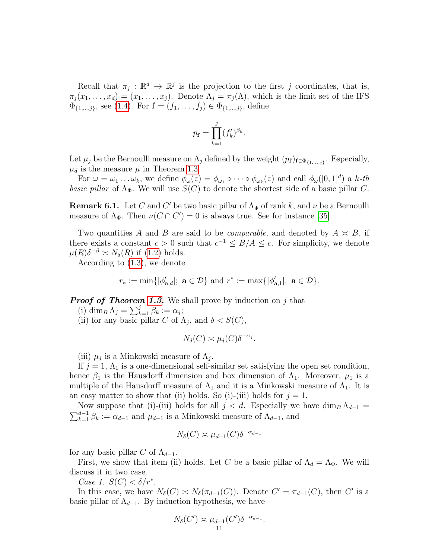Recall that  $\pi_j : \mathbb{R}^d \to \mathbb{R}^j$  is the projection to the first j coordinates, that is,  $\pi_j(x_1,\ldots,x_d)=(x_1,\ldots,x_j)$ . Denote  $\Lambda_j=\pi_j(\Lambda)$ , which is the limit set of the IFS  $\Phi_{\{1,\dots,j\}}$ , see [\(1.4\)](#page-3-1). For  $\mathbf{f} = (f_1, \dots, f_j) \in \Phi_{\{1,\dots,j\}}$ , define

$$
p_{\mathbf{f}} = \prod_{k=1}^{j} (f'_k)^{\beta_k}.
$$

Let  $\mu_j$  be the Bernoulli measure on  $\Lambda_j$  defined by the weight  $(p_f)_{f \in \Phi_{\{1,\dots,j\}}}$ . Especially,  $\mu_d$  is the measure  $\mu$  in Theorem [1.3.](#page-4-3)

For  $\omega = \omega_1 \dots \omega_k$ , we define  $\phi_\omega(z) = \phi_{\omega_1} \circ \dots \circ \phi_{\omega_k}(z)$  and call  $\phi_\omega([0,1]^d)$  a k-th basic pillar of  $\Lambda_{\Phi}$ . We will use  $S(C)$  to denote the shortest side of a basic pillar C.

**Remark 6.1.** Let C and C' be two basic pillar of  $\Lambda_{\Phi}$  of rank k, and  $\nu$  be a Bernoulli measure of  $\Lambda_{\Phi}$ . Then  $\nu(C \cap C') = 0$  is always true. See for instance [\[35\]](#page-14-1).

Two quantities A and B are said to be *comparable*, and denoted by  $A \approx B$ , if there exists a constant  $c > 0$  such that  $c^{-1} \leq B/A \leq c$ . For simplicity, we denote  $\mu(R)\delta^{-\beta} \asymp N_{\delta}(R)$  if [\(1.2\)](#page-1-1) holds.

According to [\(1.3\)](#page-3-2), we denote

$$
r_* := \min\{|\phi'_{\mathbf{a},d}|; \ \mathbf{a} \in \mathcal{D}\} \ \text{and} \ r^* := \max\{|\phi'_{\mathbf{a},1}|; \ \mathbf{a} \in \mathcal{D}\}.
$$

**Proof of Theorem [1.3.](#page-4-3)** We shall prove by induction on  $j$  that

- (i) dim<sub>B</sub>  $\Lambda_j = \sum_{k=1}^j \beta_k := \alpha_j;$
- (ii) for any basic pillar C of  $\Lambda_j$ , and  $\delta < S(C)$ ,

$$
N_{\delta}(C) \asymp \mu_j(C) \delta^{-\alpha_j}.
$$

(iii)  $\mu_j$  is a Minkowski measure of  $\Lambda_j$ .

If  $j = 1, \Lambda_1$  is a one-dimensional self-similar set satisfying the open set condition, hence  $\beta_1$  is the Hausdorff dimension and box dimension of  $\Lambda_1$ . Moreover,  $\mu_1$  is a multiple of the Hausdorff measure of  $\Lambda_1$  and it is a Minkowski measure of  $\Lambda_1$ . It is an easy matter to show that (ii) holds. So (i)-(iii) holds for  $j = 1$ .

Now suppose that (i)-(iii) holds for all  $j < d$ . Especially we have  $\dim_B \Lambda_{d-1} =$  $\sum_{k=1}^{d-1} \beta_k := \alpha_{d-1}$  and  $\mu_{d-1}$  is a Minkowski measure of  $\Lambda_{d-1}$ , and

$$
N_{\delta}(C) \asymp \mu_{d-1}(C) \delta^{-\alpha_{d-1}}
$$

for any basic pillar C of  $\Lambda_{d-1}$ .

First, we show that item (ii) holds. Let C be a basic pillar of  $\Lambda_d = \Lambda_{\Phi}$ . We will discuss it in two case.

Case 1.  $S(C) < \delta/r^*$ .

In this case, we have  $N_{\delta}(C) \simeq N_{\delta}(\pi_{d-1}(C))$ . Denote  $C' = \pi_{d-1}(C)$ , then  $C'$  is a basic pillar of  $\Lambda_{d-1}$ . By induction hypothesis, we have

$$
N_{\delta}(C') \simeq \mu_{d-1}(C')\delta^{-\alpha_{d-1}}.
$$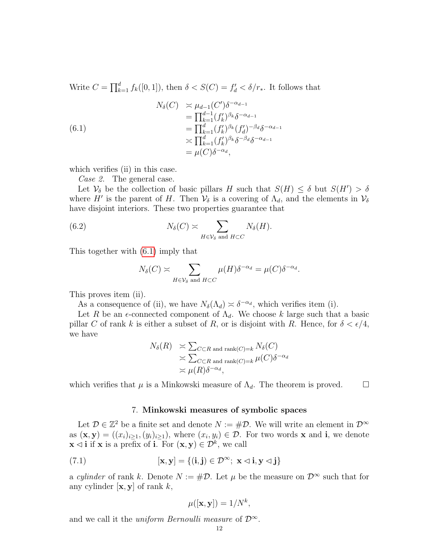Write  $C = \prod_{k=1}^{d} f_k([0, 1])$ , then  $\delta < S(C) = f'_d < \delta/r_*$ . It follows that

<span id="page-11-0"></span>(6.1)  
\n
$$
N_{\delta}(C) \simeq \mu_{d-1}(C')\delta^{-\alpha_{d-1}}
$$
\n
$$
= \prod_{k=1}^{d-1} (f'_k)^{\beta_k} \delta^{-\alpha_{d-1}}
$$
\n
$$
= \prod_{k=1}^{d} (f'_k)^{\beta_k} (f'_d)^{-\beta_d} \delta^{-\alpha_{d-1}}
$$
\n
$$
\simeq \prod_{k=1}^{d} (f'_k)^{\beta_k} \delta^{-\beta_d} \delta^{-\alpha_{d-1}}
$$
\n
$$
= \mu(C)\delta^{-\alpha_d},
$$

which verifies (ii) in this case.

Case 2. The general case.

Let  $\mathcal{V}_{\delta}$  be the collection of basic pillars H such that  $S(H) \leq \delta$  but  $S(H') > \delta$ where H' is the parent of H. Then  $\mathcal{V}_{\delta}$  is a covering of  $\Lambda_d$ , and the elements in  $\mathcal{V}_{\delta}$ have disjoint interiors. These two properties guarantee that

(6.2) 
$$
N_{\delta}(C) \simeq \sum_{H \in \mathcal{V}_{\delta} \text{ and } H \subset C} N_{\delta}(H).
$$

This together with [\(6.1\)](#page-11-0) imply that

$$
N_{\delta}(C) \asymp \sum_{H \in \mathcal{V}_{\delta} \text{ and } H \subset C} \mu(H) \delta^{-\alpha_d} = \mu(C) \delta^{-\alpha_d}.
$$

This proves item (ii).

As a consequence of (ii), we have  $N_{\delta}(\Lambda_d) \simeq \delta^{-\alpha_d}$ , which verifies item (i).

Let R be an  $\epsilon$ -connected component of  $\Lambda_d$ . We choose k large such that a basic pillar C of rank k is either a subset of R, or is disjoint with R. Hence, for  $\delta < \epsilon/4$ , we have

$$
N_{\delta}(R) \geq \sum_{C \subset R \text{ and } \text{rank}(C) = k} N_{\delta}(C)
$$
  
 
$$
\geq \sum_{C \subset R \text{ and } \text{rank}(C) = k} \mu(C) \delta^{-\alpha_d}
$$
  
 
$$
\asymp \mu(R) \delta^{-\alpha_d},
$$

which verifies that  $\mu$  is a Minkowski measure of  $\Lambda_d$ . The theorem is proved.  $\Box$ 

## 7. Minkowski measures of symbolic spaces

Let  $\mathcal{D} \in \mathbb{Z}^2$  be a finite set and denote  $N := \# \mathcal{D}$ . We will write an element in  $\mathcal{D}^{\infty}$ as  $(\mathbf{x}, \mathbf{y}) = ((x_i)_{i \geq 1}, (y_i)_{i \geq 1})$ , where  $(x_i, y_i) \in \mathcal{D}$ . For two words **x** and **i**, we denote  $\mathbf{x} \triangleleft \mathbf{i}$  if  $\mathbf{x}$  is a prefix of **i**. For  $(\mathbf{x}, \mathbf{y}) \in \mathcal{D}^k$ , we call

(7.1) 
$$
[\mathbf{x}, \mathbf{y}] = \{ (\mathbf{i}, \mathbf{j}) \in \mathcal{D}^{\infty}; \ \mathbf{x} \lhd \mathbf{i}, \mathbf{y} \lhd \mathbf{j} \}
$$

a cylinder of rank k. Denote  $N := #\mathcal{D}$ . Let  $\mu$  be the measure on  $\mathcal{D}^{\infty}$  such that for any cylinder  $[\mathbf{x}, \mathbf{y}]$  of rank k,

$$
\mu([\mathbf{x}, \mathbf{y}]) = 1/N^k,
$$

and we call it the *uniform Bernoulli measure* of  $\mathcal{D}^{\infty}$ .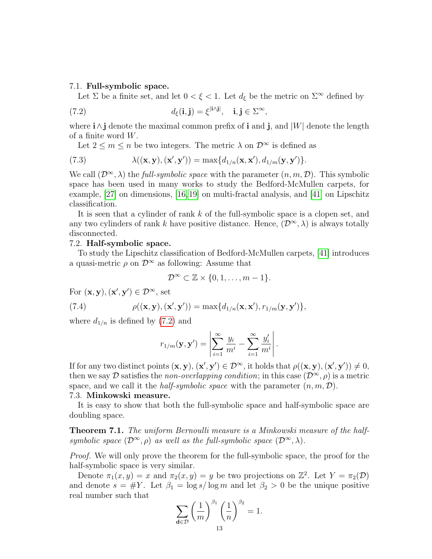## 7.1. Full-symbolic space.

<span id="page-12-0"></span>Let  $\Sigma$  be a finite set, and let  $0 < \xi < 1$ . Let  $d_{\xi}$  be the metric on  $\Sigma^{\infty}$  defined by

(7.2) 
$$
d_{\xi}(\mathbf{i}, \mathbf{j}) = \xi^{|\mathbf{i}\wedge\mathbf{j}|}, \quad \mathbf{i}, \mathbf{j} \in \Sigma^{\infty},
$$

where  $i \wedge j$  denote the maximal common prefix of i and j, and  $|W|$  denote the length of a finite word  $W$ .

Let  $2 \leq m \leq n$  be two integers. The metric  $\lambda$  on  $\mathcal{D}^{\infty}$  is defined as

(7.3) 
$$
\lambda((\mathbf{x}, \mathbf{y}), (\mathbf{x}', \mathbf{y}')) = \max\{d_{1/n}(\mathbf{x}, \mathbf{x}'), d_{1/m}(\mathbf{y}, \mathbf{y}')\}.
$$

We call  $(\mathcal{D}^{\infty}, \lambda)$  the *full-symbolic space* with the parameter  $(n, m, \mathcal{D})$ . This symbolic space has been used in many works to study the Bedford-McMullen carpets, for example, [\[27\]](#page-14-2) on dimensions, [\[16,](#page-13-10)[19\]](#page-14-7) on multi-fractal analysis, and [\[41\]](#page-14-8) on Lipschitz classification.

It is seen that a cylinder of rank k of the full-symbolic space is a clopen set, and any two cylinders of rank k have positive distance. Hence,  $(\mathcal{D}^{\infty}, \lambda)$  is always totally disconnected.

## 7.2. Half-symbolic space.

To study the Lipschitz classification of Bedford-McMullen carpets, [\[41\]](#page-14-8) introduces a quasi-metric  $\rho$  on  $\mathcal{D}^{\infty}$  as following: Assume that

$$
\mathcal{D}^{\infty} \subset \mathbb{Z} \times \{0, 1, \ldots, m-1\}.
$$

For  $(\mathbf{x}, \mathbf{y}), (\mathbf{x}', \mathbf{y}') \in \mathcal{D}^{\infty}$ , set

(7.4) 
$$
\rho((\mathbf{x}, \mathbf{y}), (\mathbf{x}', \mathbf{y}')) = \max\{d_{1/n}(\mathbf{x}, \mathbf{x}'), r_{1/m}(\mathbf{y}, \mathbf{y}')\},\
$$

where  $d_{1/n}$  is defined by [\(7.2\)](#page-12-0) and

$$
r_{1/m}(\mathbf{y}, \mathbf{y}') = \left| \sum_{i=1}^{\infty} \frac{y_i}{m^i} - \sum_{i=1}^{\infty} \frac{y'_i}{m^i} \right|.
$$

If for any two distinct points  $(\mathbf{x}, \mathbf{y}), (\mathbf{x}', \mathbf{y}') \in \mathcal{D}^{\infty}$ , it holds that  $\rho((\mathbf{x}, \mathbf{y}), (\mathbf{x}', \mathbf{y}')) \neq 0$ , then we say D satisfies the non-overlapping condition; in this case  $(\mathcal{D}^{\infty}, \rho)$  is a metric space, and we call it the *half-symbolic space* with the parameter  $(n, m, D)$ . 7.3. Minkowski measure.

It is easy to show that both the full-symbolic space and half-symbolic space are doubling space.

Theorem 7.1. The uniform Bernoulli measure is a Minkowski measure of the halfsymbolic space  $(\mathcal{D}^{\infty}, \rho)$  as well as the full-symbolic space  $(\mathcal{D}^{\infty}, \lambda)$ .

Proof. We will only prove the theorem for the full-symbolic space, the proof for the half-symbolic space is very similar.

Denote  $\pi_1(x,y) = x$  and  $\pi_2(x,y) = y$  be two projections on  $\mathbb{Z}^2$ . Let  $Y = \pi_2(\mathcal{D})$ and denote  $s = #Y$ . Let  $\beta_1 = \log s / \log m$  and let  $\beta_2 > 0$  be the unique positive real number such that

$$
\sum_{\mathbf{d}\in\mathcal{D}}\left(\frac{1}{m}\right)^{\beta_1}\left(\frac{1}{n}\right)^{\beta_2}=1.
$$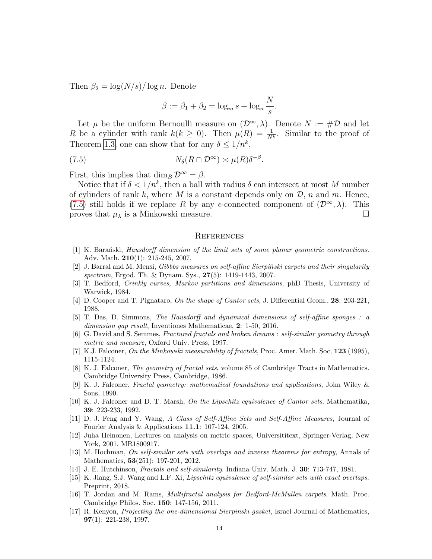Then  $\beta_2 = \log(N/s)/\log n$ . Denote

<span id="page-13-11"></span>
$$
\beta := \beta_1 + \beta_2 = \log_m s + \log_n \frac{N}{s}.
$$

Let  $\mu$  be the uniform Bernoulli measure on  $(\mathcal{D}^{\infty}, \lambda)$ . Denote  $N := \#\mathcal{D}$  and let R be a cylinder with rank  $k(k \geq 0)$ . Then  $\mu(R) = \frac{1}{N^k}$ . Similar to the proof of Theorem [1.3,](#page-4-3) one can show that for any  $\delta \leq 1/n^k$ ,

(7.5) 
$$
N_{\delta}(R \cap \mathcal{D}^{\infty}) \asymp \mu(R)\delta^{-\beta}.
$$

First, this implies that  $\dim_B \mathcal{D}^{\infty} = \beta$ .

Notice that if  $\delta < 1/n^k$ , then a ball with radius  $\delta$  can intersect at most M number of cylinders of rank k, where M is a constant depends only on  $\mathcal{D}$ , n and m. Hence, [\(7.5\)](#page-13-11) still holds if we replace R by any  $\epsilon$ -connected component of  $(\mathcal{D}^{\infty}, \lambda)$ . This proves that  $\mu_{\lambda}$  is a Minkowski measure.

## **REFERENCES**

- <span id="page-13-7"></span>[1] K. Baranski, Hausdorff dimension of the limit sets of some planar geometric constructions. Adv. Math. 210(1): 215-245, 2007.
- [2] J. Barral and M. Mensi, Gibbbs measures on self-affine Sierpiński carpets and their singularity spectrum, Ergod. Th. & Dynam. Sys., 27(5): 1419-1443, 2007.
- <span id="page-13-4"></span>[3] T. Bedford, Crinkly curves, Markov partitions and dimensions, phD Thesis, University of Warwick, 1984.
- [4] D. Cooper and T. Pignataro, On the shape of Cantor sets, J. Differential Geom., 28: 203-221, 1988.
- <span id="page-13-6"></span>[5] T. Das, D. Simmons, The Hausdorff and dynamical dimensions of self-affine sponges : a dimension gap result, Inventiones Mathematicae, 2: 1-50, 2016.
- [6] G. David and S. Semmes, Fractured fractals and broken dreams : self-similar geometry through metric and measure, Oxford Univ. Press, 1997.
- <span id="page-13-0"></span>[7] K.J. Falconer, On the Minkowski measurability of fractals, Proc. Amer. Math. Soc, 123 (1995), 1115-1124.
- [8] K. J. Falconer, The geometry of fractal sets, volume 85 of Cambridge Tracts in Mathematics. Cambridge University Press, Cambridge, 1986.
- <span id="page-13-9"></span>[9] K. J. Falconer, Fractal geometry: mathematical foundations and applications, John Wiley & Sons, 1990.
- [10] K. J. Falconer and D. T. Marsh, On the Lipschitz equivalence of Cantor sets, Mathematika, 39: 223-233, 1992.
- <span id="page-13-8"></span>[11] D. J. Feng and Y. Wang, A Class of Self-Affine Sets and Self-Affine Measures, Journal of Fourier Analysis & Applications 11.1: 107-124, 2005.
- <span id="page-13-5"></span>[12] Juha Heinonen, Lectures on analysis on metric spaces, Universititext, Springer-Verlag, New York, 2001. MR1800917.
- <span id="page-13-3"></span>[13] M. Hochman, On self-similar sets with overlaps and inverse theorems for entropy, Annals of Mathematics, 53(251): 197-201, 2012.
- <span id="page-13-1"></span>[14] J. E. Hutchinson, Fractals and self-similarity. Indiana Univ. Math. J. 30: 713-747, 1981.
- [15] K. Jiang, S.J. Wang and L.F. Xi, Lipschitz equivalence of self-similar sets with exact overlaps. Preprint, 2018.
- <span id="page-13-10"></span>[16] T. Jordan and M. Rams, Multifractal analysis for Bedford-McMullen carpets, Math. Proc. Cambridge Philos. Soc. 150: 147-156, 2011.
- <span id="page-13-2"></span>[17] R. Kenyon, Projecting the one-dimensional Sierpinski gasket, Israel Journal of Mathematics, 97(1): 221-238, 1997.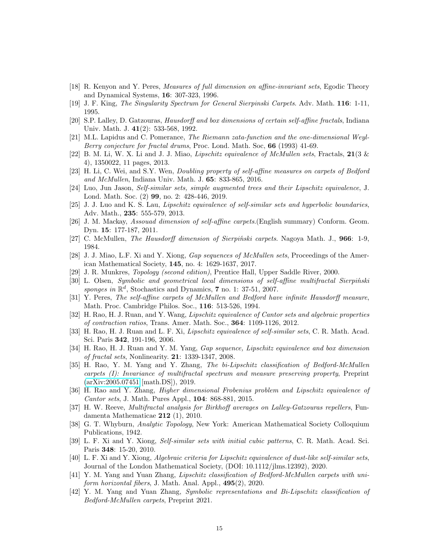- [18] R. Kenyon and Y. Peres, Measures of full dimension on affine-invariant sets, Egodic Theory and Dynamical Systems, 16: 307-323, 1996.
- <span id="page-14-7"></span>[19] J. F. King, The Singularity Spectrum for General Sierpinski Carpets. Adv. Math. 116: 1-11, 1995.
- <span id="page-14-4"></span>[20] S.P. Lalley, D. Gatzouras, Hausdorff and box dimensions of certain self-affine fractals, Indiana Univ. Math. J. 41(2): 533-568, 1992.
- <span id="page-14-0"></span>[21] M.L. Lapidus and C. Pomerance, The Riemann zata-function and the one-dimensional Weyl-Berry conjecture for fractal drums, Proc. Lond. Math. Soc, 66 (1993) 41-69.
- [22] B. M. Li, W. X. Li and J. J. Miao, *Lipschitz equivalence of McMullen sets*, Fractals,  $21(3 \&$ 4), 1350022, 11 pages, 2013.
- [23] H. Li, C. Wei, and S.Y. Wen, Doubling property of self-affine measures on carpets of Bedford and McMullen, Indiana Univ. Math. J. 65: 833-865, 2016.
- [24] Luo, Jun Jason, Self-similar sets, simple augmented trees and their Lipschitz equivalence, J. Lond. Math. Soc. (2) 99, no. 2: 428-446, 2019.
- [25] J. J. Luo and K. S. Lau, Lipschitz equivalence of self-similar sets and hyperbolic boundaries, Adv. Math., 235: 555-579, 2013.
- [26] J. M. Mackay, Assouad dimension of self-affine carpets.(English summary) Conform. Geom. Dyn. 15: 177-187, 2011.
- <span id="page-14-2"></span>[27] C. McMullen, *The Hausdorff dimension of Sierpinski carpets*. Nagoya Math. J.,  $966: 1-9$ , 1984.
- [28] J. J. Miao, L.F. Xi and Y. Xiong, *Gap sequences of McMullen sets*, Proceedings of the American Mathematical Society, 145, no. 4: 1629-1637, 2017.
- <span id="page-14-5"></span>[29] J. R. Munkres, *Topology (second edition)*, Prentice Hall, Upper Saddle River, 2000.
- [30] L. Olsen, Symbolic and geometrical local dimensions of self-affine multifractal Sierpinski ´ sponges in  $\mathbb{R}^d$ , Stochastics and Dynamics, 7 no. 1: 37-51, 2007.
- <span id="page-14-3"></span>[31] Y. Peres, The self-affine carpets of McMullen and Bedford have infinite Hausdorff measure, Math. Proc. Cambridge Philos. Soc., 116: 513-526, 1994.
- [32] H. Rao, H. J. Ruan, and Y. Wang, Lipschitz equivalence of Cantor sets and algebraic properties of contraction ratios, Trans. Amer. Math. Soc., 364: 1109-1126, 2012.
- [33] H. Rao, H. J. Ruan and L. F. Xi, *Lipschitz equivalence of self-similar sets*, C. R. Math. Acad. Sci. Paris 342, 191-196, 2006.
- [34] H. Rao, H. J. Ruan and Y. M. Yang, Gap sequence, Lipschitz equivalence and box dimension of fractal sets, Nonlinearity. 21: 1339-1347, 2008.
- <span id="page-14-1"></span>[35] H. Rao, Y. M. Yang and Y. Zhang, The bi-Lipschitz classification of Bedford-McMullen carpets (I): Invariance of multifractal spectrum and measure preserving property, Preprint [\(arXiv:2005.07451](http://arxiv.org/abs/2005.07451) [math.DS]), 2019.
- [36] H. Rao and Y. Zhang, Higher dimensional Frobenius problem and Lipschitz equivalence of Cantor sets, J. Math. Pures Appl., 104: 868-881, 2015.
- [37] H. W. Reeve, Multifractal analysis for Birkhoff averages on Lalley-Gatzouras repellers, Fundamenta Mathematicae 212 (1), 2010.
- <span id="page-14-6"></span>[38] G. T. Whyburn, Analytic Topology, New York: American Mathematical Society Colloquium Publications, 1942.
- [39] L. F. Xi and Y. Xiong, Self-similar sets with initial cubic patterns, C. R. Math. Acad. Sci. Paris 348: 15-20, 2010.
- [40] L. F. Xi and Y. Xiong, Algebraic criteria for Lipschitz equivalence of dust-like self-similar sets, Journal of the London Mathematical Society, (DOI: 10.1112/jlms.12392), 2020.
- <span id="page-14-8"></span>[41] Y. M. Yang and Yuan Zhang, Lipschitz classification of Bedford-McMullen carpets with uniform horizontal fibers, J. Math. Anal. Appl., 495(2), 2020.
- [42] Y. M. Yang and Yuan Zhang, Symbolic representations and Bi-Lipschitz classification of Bedford-McMullen carpets, Preprint 2021.